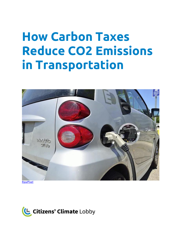# **How Carbon Taxes Reduce CO2 Emissions in Transportation**



[RawPixel](https://www.rawpixel.com/image/6080556/electric-car)

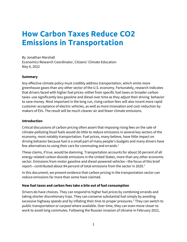# **How Carbon Taxes Reduce CO2 Emissions in Transportation**

By Jonathan Marshall Economics Research Coordinator, Citizens' Climate Education May 6, 2022

#### **Summary**

Any effective climate policy must credibly address transportation, which emits more greenhouse gases than any other sector of the U.S. economy. Fortunately, research indicates that drivers faced with higher fuel prices–either from specific fuel taxes or broader carbon taxes–use significantly less gasoline and diesel over time as they adjust their driving behavior to save money. Most important in the long run, rising carbon fees will also incent more rapid customer acceptance of electric vehicles, as well as more innovation and cost-reduction by makers of EVs. The result will be much cleaner air and fewer climate emissions.

#### **Introduction**

Critical discussions of carbon pricing often assert that imposing rising fees on the sale of climate-polluting fossil fuels would do little to reduce emissions in several key sectors of the economy, most notably transportation. Fuel prices, many believe, have little impact on driving behavior because fuel is a small part of many people's budgets and many drivers have few alternatives to using their cars for commuting and errands.<sup>1</sup>

These claims, if true, would be damning. Transportation accounts for about 30 percent of all energy-related carbon dioxide emissions in the United States, more than any other economic sector. Emissions from motor gasoline and diesel-powered vehicles—the focus of this brief report—contributed about 84 percent of total emissions from the sector in 2020.<sup>2</sup>

In this document, we present evidence that carbon pricing in the transportation sector can reduce emissions far more than some have claimed.

#### **How fuel taxes and carbon fees take a bite out of fuel consumption**

Drivers do have choices. They can respond to higher fuel prices by combining errands and taking shorter discretionary trips. They can conserve substantial fuel simply by avoiding excessive highway speeds and by inflating their tires to proper pressures.<sup>3</sup> They can switch to public transportation or carpool where available. Over time, they can even move closer to work to avoid long commutes. Following the Russian invasion of Ukraine in February 2022,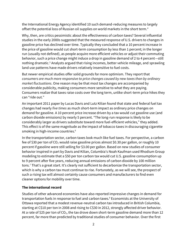the International Energy Agency identified 10 such demand-reducing measures to largely offset the potential loss of Russian oil supplies on world markets in the short term.<sup>4</sup>

Why, then, are critics pessimistic about the effectiveness of carbon taxes? Several influential studies in the early 2000s suggested that the measured response of U.S. drivers to changes in gasoline price has declined over time. Typically they concluded that a 10 percent increase in the price of gasoline would cut short-term consumption by less than 1 percent; in the longer run (usually not defined), as people acquire more efficient vehicles or adjust their commuting behavior, such a price change might induce a drop in gasoline demand of 2 to 4 percent—still nothing dramatic.<sup>5</sup> Analysts argued that rising incomes, better vehicle mileage, and sprawling land use patterns have made drivers relatively insensitive to fuel costs.

But newer empirical studies offer solid grounds for more optimism. They report that *consumers are much more responsive to price changes caused by new taxes than by ordinary market fluctuations*. One reason may be that most tax changes are accompanied by considerable publicity, making consumers more sensitive to what they are paying. Consumers realize that taxes raise costs over the long term, unlike short-term price hikes they can "ride out."

An important 2011 paper by Lucas Davis and Lutz Kilian found that state and federal fuel tax changes had nearly *five times* as much short-term impact as ordinary price changes on demand for gasoline. A 10 percent price increase driven by a tax would cut gasoline use (and carbon dioxide emissions) by nearly 5 percent. "The long-run response is likely to be considerably larger as drivers substitute toward more fuel-efficient vehicles," they added. This effect is of the same magnitude as the impact of tobacco taxes in discouraging cigarette smoking in high-income countries.<sup>6</sup>

In the transportation sector, carbon taxes look much like fuel taxes. For perspective, a carbon fee of \$30 per ton of  $CO<sub>2</sub>$  would raise gasoline prices almost \$0.30 per gallon, or roughly 10 percent if gasoline were still selling for \$3.00 per gallon. Based on new studies of consumer behavior inspired in part by Davis and Kilian, Columbia's Noah Kaufman used Rhodium Group modeling to estimate that a \$50 per ton carbon tax would cut U.S. gasoline consumption up to 9 percent after five years, reducing annual emissions of carbon dioxide by 100 million tons.<sup>7</sup> That's a great start. It's clearly not sufficient to decarbonize the transportation sector, which is why a carbon tax must continue to rise. Fortunately, as we will see, the prospect of such a rising tax will almost certainly cause consumers and manufacturers to find even cleaner options for mobility over time.

# **The international record**

Studies of other advanced economies have also reported impressive changes in demand for transportation fuels in response to fuel and carbon taxes.<sup>8</sup> Economists at the University of Ottawa reported that a modest revenue-neutral carbon tax introduced in British Columbia, starting at C\$10 per ton in 2008 and rising to C\$30 in 2012, strongly affected driver behavior. At a rate of \$25 per ton of  $CO<sub>2</sub>$ , the tax drove down short-term gasoline demand more than 12 percent, far more than predicted by traditional studies of consumer behavior. Over the first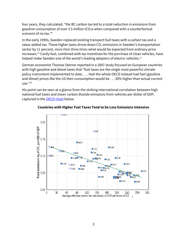four years, they calculated, "the BC carbon tax led to a total reduction in emissions from gasoline consumption of over 3.5 million  $tCO<sub>2</sub>e$  when compared with a counterfactual scenario of no tax."<sup>9</sup>

In the early 1990s, Sweden replaced existing transport fuel taxes with a carbon tax and a value-added tax. These higher taxes drove down  $CO<sub>2</sub>$  emissions in Sweden's transportation sector by 11 percent, *more than three times* what would be expected from ordinary price increases.<sup>10</sup> Costly fuel, combined with tax incentives for the purchase of clean vehicles, have helped make Sweden one of the world's leading adopters of electric vehicles.<sup>11</sup>

German economist Thomas Sterner reported in a 2007 study focused on European countries with high gasoline and diesel taxes that "fuel taxes are the single most powerful climate policy instrument implemented to date. . . . Had the whole OECD instead had fuel (gasoline and diesel) prices like the US then consumption would be . . . 30% higher than actual current use."<sup>12</sup>

His point can be seen at a glance from the striking international correlation between high national fuel taxes and lower carbon dioxide emissions from vehicles per dollar of GDP, captured in the **OECD** chart below.



#### **Countries with Higher Fuel Taxes Tend to be Less Emissions Intensive**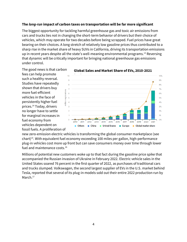# **The** *long-run* **impact of carbon taxes on transportation will be far more significant**

The biggest opportunity for tackling harmful greenhouse gas and toxic air emissions from cars and trucks lies not in changing the short-term behavior of drivers but their choice of vehicles, which may operate for two decades before being scrapped. Fuel prices have great bearing on their choices. A long stretch of relatively low gasoline prices thus contributed to a sharp rise in the market share of heavy SUVs in California, driving its transportation emissions up in recent years despite all the state's well-meaning environmental programs.<sup>13</sup> Reversing that dynamic will be critically important for bringing national greenhouse gas emissions under control.

The good news is that carbon fees can help promote such a healthy reversal. Studies have repeatedly shown that drivers buy more fuel-efficient vehicles in the face of persistently higher fuel prices.<sup>14</sup> Today, drivers no longer have to settle for marginal increases in fuel economy from vehicles dependent on fossil fuels. A proliferation of





new zero-emission electric vehicles is transforming the global consumer marketplace (see chart)<sup>15</sup>. With equivalent fuel economy exceeding 100 miles per gallon, high-performance plug-in vehicles cost more up front but can save consumers money over time through lower fuel and maintenance costs.<sup>16</sup>

Millions of potential new customers woke up to that fact during the gasoline price spike that accompanied the Russian invasion of Ukraine in February 2022. Electric vehicle sales in the United States soared 76 percent in the first quarter of 2022, as purchases of traditional cars and trucks slumped. Volkswagen, the second largest supplier of EVs in the U.S. market behind Tesla, reported that several of its plug-in models sold out their entire 2022 production run by March.<sup>17</sup>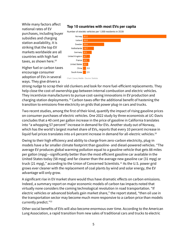While many factors affect national rates of EV purchases, including buyer subsidies and charging station availability, it is striking that the top EV markets worldwide are all countries with high fuel taxes, as shown here.<sup>18</sup>

Higher fuel or carbon taxes encourage consumer adoption of EVs in several ways. They give drivers a

# Top 10 countries with most EVs per capita

Number of electric vehicles per 1,000 residents in 2020



strong nudge to scrap their old clunkers and look for more fuel-efficient replacements. They help close the cost-of-ownership gap between internal combustion and electric vehicles. They incentivize manufacturers to pursue cost-saving innovations in EV production and charging-station deployments.<sup>19</sup> Carbon taxes offer the additional benefit of hastening the transition to emissions-free electricity on grids that power plug-in cars and trucks.

Two recent studies, among the first of their kind, quantify the impact of rising gasoline prices on consumer purchases of electric vehicles. One 2022 study by three economists at UC-Davis concludes that a 40 cent per gallon increase in the price of gasoline in California translates into "a whopping 57 percent" increase in demand for EVs. Another study out of Norway, which has the world's largest market share of EVs, reports that every 10 percent increase in liquid fuel prices translates into a 6 percent increase in demand for all-electric vehicles.<sup>20</sup>

Owing to their high efficiency and ability to charge from zero-carbon electricity, plug-in models have a far smaller climate footprint than gasoline- and diesel-powered vehicles. "The average EV produces global warming pollution equal to a gasoline vehicle that gets 88 miles per gallon (mpg)—significantly better than the most efficient gasoline car available in the United States today (58 mpg) and far cleaner than the average new gasoline car (31 mpg) or truck (21 mpg)," according to the Union of Concerned Scientists.<sup>21</sup> As the U.S. power grid grows ever cleaner with the replacement of coal plants by wind and solar energy, the EV advantage will only grow.

A significant rise in EV market share would thus have dramatic effects on carbon emissions. Indeed, a summary report on major economic models of carbon tax impacts noted that virtually none considers the coming technological revolution in road transportation. "If electric vehicles or advanced biofuels gain market share," the report stated, "then oil use in the transportation sector may become much more responsive to a carbon price than models currently predict."<sup>22</sup>

Other social benefits of EVs will also become enormous over time. According to the American Lung Association, a rapid transition from new sales of traditional cars and trucks to electric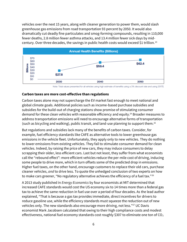vehicles over the next 15 years, along with cleaner generation to power them, would slash greenhouse gas emissions from road transportation 93 percent by 2050. It would also dramatically cut deadly fine particulates and smog-forming compounds, resulting in 110,000 fewer deaths, 2.8 million fewer asthma attacks, and 13.4 million fewer sick days by midcentury. Over three decades, the savings in public health costs would exceed \$1 trillion.<sup>23</sup>



Note: Total values presented for all vehicles using high estimate of benefits using a 3% discount rate and using 2017\$.

# **Carbon taxes are more cost-effective than regulations**

Carbon taxes alone may not supercharge the EV market fast enough to meet national and global climate goals. Additional policies such as income-based purchase subsidies and subsidies for the build-out of charging stations show promise of stimulating consumer demand for these clean vehicles with reasonable efficiency and equity.<sup>24</sup> Broader measures to address transportation emissions will need to encourage alternative forms of transportation (such as bicycling and walking), public transit, and land-use planning to support them.<sup>25</sup>

But regulations and subsidies lack many of the benefits of carbon taxes. Consider, for example, fuel efficiency standards like CAFE as alternative tools to lower greenhouse gas emissions in the vehicle fleet. Unfortunately, they apply only to new vehicles. They do nothing to lower emissions from existing vehicles. They fail to stimulate consumer demand for clean vehicles. Indeed, by raising the price of new cars, they may induce consumers to delay scrapping their older, less efficient cars. Last but not least, they suffer from what economists call the "rebound effect": more efficient vehicles reduce the per-mile cost of driving, inducing some people to drive more, which in turn offsets some of the predicted drop in emissions. Higher fuel taxes, on the other hand, encourage customers to replace their old cars, purchase cleaner vehicles, *and* to drive less. To quote the unhedged conclusion of two experts on how to make cars greener, "No regulatory alternative achieves the efficiency of a fuel tax."<sup>26</sup>

A 2013 study published in *Energy Economics* by four economists at MIT determined that increased CAFE standards would cost the US economy six to 14 times more than a federal gas tax to achieve the same reduction in fuel use over a period of four decades. As the lead author explained, "That is because a gas tax provides immediate, direct incentives for drivers to reduce gasoline use, while the efficiency standards must squeeze the reduction out of new vehicles only. The new standards also encourage more driving, not less."<sup>27</sup> UC Davis economist Mark Jacobsen calculated that owing to their high compliance costs and modest effectiveness, national fuel economy standards cost roughly \$307 to eliminate one ton of  $CO<sub>2</sub>$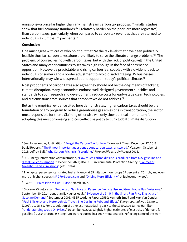emissions—a price far higher than any mainstream carbon tax proposal.<sup>28</sup> Finally, studies show that fuel economy standards fall relatively harder on the poor (are more regressive) than carbon taxes, particularly when compared to carbon tax revenues that are returned to individuals as lump-sum payments. $^{29}$ 

# **Conclusion**

One must agree with critics who point out that "at the tax levels that have been politically feasible thus far, carbon taxes alone are unlikely to solve the climate change problem."<sup>30</sup> The problem, of course, lies not with carbon taxes, but with the lack of political will in the United States and many other countries to set taxes high enough in the face of entrenched opposition. However, a predictable and rising carbon fee, coupled with a dividend back to individual consumers and a border adjustment to avoid disadvantaging US businesses internationally, may win widespread public support in today's political climate. $31$ 

Most proponents of carbon taxes also agree they should not be the *only* means of tackling climate disruption. Many economists endorse well-designed government subsidies and standards to spur research and development, reduce costs for early-stage clean technologies, and cut emissions from sources that carbon taxes do not address.<sup>32</sup>

But as the empirical evidence cited here demonstrates, higher carbon taxes should be the foundation of any program to reduce greenhouse gas emissions in transportation, the sector most responsible for them. Claiming otherwise will only slow political momentum for adopting this most promising and cost-effective policy to curb global climate disruption.

<sup>&</sup>lt;sup>1</sup> See, for example, Justin Gillis, "**[Forget the Carbon Tax for Now](https://www.nytimes.com/2018/12/27/opinion/carbon-tax-climate-change.html)**," New York Times, December 27, 2018; David Roberts, "[The 5 most important questions about carbon taxes, answered](https://www.vox.com/energy-and-environment/2018/7/20/17584376/carbon-tax-congress-republicans-cost-economy)," Vox.com, October 18, 2018; Jeffrey Ball, ["Why Carbon Pricing Isn't Working,"](https://www.foreignaffairs.com/articles/world/2018-06-14/why-carbon-pricing-isnt-working) *Foreign Affairs*, July/August 2018.

<sup>&</sup>lt;sup>2</sup> U.S. Energy Information Administration, "How much carbon dioxide is produced from U.S. gasoline and [diesel fuel consumption](https://www.eia.gov/tools/faqs/faq.php?id=307&t=11)?," December 2021; also U.S. Environmental Protection Agency, "[Sources of](https://www.epa.gov/ghgemissions/sources-greenhouse-gas-emissions)  [Greenhouse Gas Emissions](https://www.epa.gov/ghgemissions/sources-greenhouse-gas-emissions)" (2019 data).

 $3$  The typical passenger car's rated fuel efficiency at 55 miles per hour drops 17 percent at 70 mph, and even more at higher speeds [\(MPGForSpeed.com](http://www.mpgforspeed.com/) and "[Driving More Efficiently](https://www.fueleconomy.gov/feg/driveHabits.jsp)" at fueleconomy.gov).

<sup>&</sup>lt;sup>4</sup> IEA, "<u>[A 10-Point Plan to Cut Oil Use](https://www.iea.org/reports/a-10-point-plan-to-cut-oil-use)</u>," March 2022.

<sup>5</sup> Giovanni Circella et al., "[Impacts of Gas Price on Passenger Vehicle Use and Greenhouse Gas Emissions](http://www.arb.ca.gov/cc/sb375/policies/gasprice/gasprice_brief.pdf)," September 30, 2014; Jonathan E. Hughes et al., "[Evidence of a Shift in the Short-Run Price Elasticity of](https://www.nber.org/papers/w12530)  [Gasoline Demand](https://www.nber.org/papers/w12530)," September 2006, NBER Working Paper 12530; Kenneth Small and Kurt Van Dender, "[Fuel Efficiency and Motor Vehicle Travel: The Declining Rebound Effect](https://www.researchgate.net/publication/46523509_Fuel_Efficiency_and_Motor_Vehicle_Travel_The_Declining_Rebound_Effect)," *Energy Journal*, vol. 28, no. 1 (2007), pp. 25-51. For a tabulation of other estimates dating back to the 1990s, see James Hamilton, "[Understanding Crude Oil Prices](https://econweb.ucsd.edu/~jhamilton/understand_oil.pdf)," December 6, 2008. Slightly higher estimates of elasticity of demand for gasoline (-0.2 short run, -0.7 long run) were reported in a 2017 meta-analysis, reflecting some of the work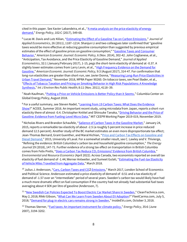cited in this paper. See Xavier Labandeira, et al., "A meta-analysis on the price elasticity of energy [demand](https://www.researchgate.net/publication/299861005_A_meta-analysis_on_the_price_elasticity_of_energy_demand)," *Energy Policy*, 102:C (2017), 549-68.

6 Lucas W. Davis and Lutz Kilian, "[Estimating the Effect of a Gasoline Tax on Carbon Emissions](http://faculty.haas.berkeley.edu/ldavis/Davis%20and%20Kilian%20JAE%202011.pdf)," *Journal of Applied Econometrics*, 26 (2011), 1187–1214. Shanjun Li and two colleagues later confirmed that "gasoline taxes would be more effective at reducing gasoline consumption than suggested by previous empirical estimates of the effect of gasoline prices on gasoline consumption;" "[Gasoline Taxes and Consumer](https://www.aeaweb.org/articles?id=10.1257/pol.6.4.302)  [Behavior](https://www.aeaweb.org/articles?id=10.1257/pol.6.4.302)," *American Economic Journal: Economic Policy,* 6 (Nov. 2014), 302-42. John Coglianese, et al., "Anticipation, Tax Avoidance, and the Price Elasticity of Gasoline Demand," *Journal of Applied Econometrics*, 32:1 (January/February 2017), 1-15, pegs the short-term elasticity of demand at -0.37. A slightly lower estimates comes from Larry Levin, et al., "High Frequency Evidence on the Demand for [Gasoline](https://www.aeaweb.org/articles?id=10.1257/pol.20140093)," *American Economic Journal: Economic Policy,* 9:3 (August 2017), 314-47. For confirmation that long-run elasticities are greater than short-run, see Javier Donna, "Measuring Long-Run Price Elasticities in [Urban Travel Demand](https://mpra.ub.uni-muenchen.de/90260/)," November 2018, MPRA Paper 90260. On tobacco taxes, see Pearl Bader, et al., "[Effects of Tobacco Taxation and Pricing on Smoking Behavior in High Risk Populations: A Knowledge](https://www.ncbi.nlm.nih.gov/pmc/articles/PMC3228562/)  [Synthesis](https://www.ncbi.nlm.nih.gov/pmc/articles/PMC3228562/)," *Int J Environ Res Public Health*; 8:11 (Nov. 2011), 4118–39.

<sup>7</sup> Noah Kaufman, "[Putting a Price on Vehicle Emissions is Better Policy than it Seems](https://energypolicy.columbia.edu/sites/default/files/pictures/CGEP_Commentary_VehicleEmissionsCarbonTax_.pdf)," Columbia Center on Global Energy Policy, August 2018.

<sup>8</sup> For a useful summary, see Steven Nadel, "<u>Learning from 19 Carbon Taxes: What Does the Evidence</u> [Show](https://aceee.org/files/proceedings/2016/data/papers/9_49.pdf)?" ACEEE, Summer 2016. An important recent study, using microdata from Japan, reports a short-run elasticity there of almost -0.4. Christopher Knittel and Shinsuke Tanaka, "Driving Behavior and the Price of [Gasoline: Evidence from Fueling-Level Micro Data](https://ceepr.mit.edu/wp-content/uploads/2021/09/2019-019.pdf)," MIT CEEPR Working Paper 2019-019, November 2019.

<sup>9</sup> Nicholas Rivers and Brandon Schaufele, "[Salience of Carbon Taxes in the Gasoline Market](https://papers.ssrn.com/sol3/papers.cfm?abstract_id=2131468)," January 24, 2015, reports a remarkable tax elasticity of about -2.5 (a roughly 5 percent increase in price reduced demand 12.5 percent). Another study of the BC market estimates an even more disproportionate tax effect; Jean-Thomas Bernard, Grant Guenther, and Maral Kichian, "[Price and Carbon Tax Effects on Gasoline and](https://slideplayer.com/slide/9505928/inaires_Matu/Papiers_Matu_2014/bgk-3oct2014.pdf)  [Diesel Demand](https://slideplayer.com/slide/9505928/inaires_Matu/Papiers_Matu_2014/bgk-3oct2014.pdf)," 2015, University of Laval. For a somewhat smaller result, see C. Lawley and V. Thivierge, "Refining the evidence: British Columbia's carbon tax and household gasoline consumption," *The Energy Journal* 29 (2018), 147-71. Further evidence of a strong tax effect on transportation in British Columbia comes from Felix Pretis, "Does a Carbon Tax Reduce CO<sub>2</sub> [Emissions? Evidence from British Columbia](https://link.springer.com/article/10.1007/s10640-022-00679-w)," *Environmental and Resource Economics* (April 2022). Across Canada, two economists reported an overall tax elasticity of fuel demand of -1.44; Werner Antweiler, and Sumeet Gulati, "Estimating the Fuel-tax Elasticity [of Vehicle Miles Travelled from Aggregate Data](https://www.isid.ac.in/~epu/acegd2018/papers/SumeetGulati.pdf)," March 2018.

<sup>10</sup> Julius J. Andersson, "[Cars, Carbon Taxes and CO](http://www.lse.ac.uk/GranthamInstitute/wp-content/uploads/2017/03/Working-paper-212-Andersson_update_March2017.pdf)<sub>[2](http://www.lse.ac.uk/GranthamInstitute/wp-content/uploads/2017/03/Working-paper-212-Andersson_update_March2017.pdf)</sub> [Emissions](http://www.lse.ac.uk/GranthamInstitute/wp-content/uploads/2017/03/Working-paper-212-Andersson_update_March2017.pdf)," March 2017, London School of Economics and Political Science. Andersson estimated a price elasticity of demand of -0.51 and a tax elasticity of demand of -1.57 over an "intermediate" period of several years. Sweden's carbon tax would likely have had a much more dramatic effect on fuel consumption if the country had not already had substantial fuel taxes averaging about 4 SEK per litre of gasoline (Andersson, 7).

<sup>11</sup> "[New Swedish Car Policies Expected To Boost Electric Car Market Share In Sweden](https://cleantechnica.com/2018/05/02/new-swedish-car-policies-expected-to-spike-electric-vehicle-market-share-in-sweden/)," CleanTechnica.com, May 2, 2018; Rikki Gibson, "[What Can We Learn From Sweden About EV Adoption](https://www.fleetcarma.com/can-learn-sweden-ev-adoption/)?" FleetCarma.com, July 5, 2018; "[Demand for plug-in electric cars remains strong in Sweden](https://insideevs.com/swedish-electric-car-market-shares-soars/)," InsideEVs.com, October 3, 2018.

<sup>12</sup> Thomas Sterner, "[Fuel taxes: An important instrument for climate policy,](https://www.sciencedirect.com/science/article/abs/pii/S0301421506004113)" *Energy Policy*, 35:6 (June 2007), 3194-3202.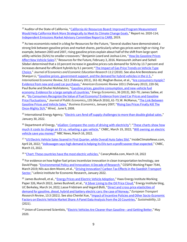<sup>13</sup> Auditor of the State of California, "California Air Resources Board: Improved Program Measurement [Would Help California Work More Strategically to Meet Its Climate Change Goals](http://auditor.ca.gov/reports/2020-114/summary.html)," Report no. 2020-114; [Independent Emissions Market Advisory Committee Report to CARB,](https://calepa.ca.gov/wp-content/uploads/sites/6/2020/01/Final_2019_IEMAC_Annual_Report_2019_12_06.a.pdf) 2019.

<sup>14</sup> As two economists noted in a blog for Resources for the Future, "Several studies have demonstrated a strong link between gasoline prices and market shares, particularly when gas prices were high or rising. For example, between 2003 and 2007, rising gasoline prices explain about half of the shift from large sport utility vehicles (SUVs) to smaller crossovers." Benjamin Leard and Joshua Linn, "How Do Gasoline Prices [Affect New Vehicle Sales](http://www.rff.org/blog/2016/how-do-gasoline-prices-affect-new-vehicle-sales)?," Resources for the Future, February 3, 2016. Mansoureh Jeihani and Soheil Sibdari determined that a 10 percent increase in gasoline prices cuts demand for SUVs by 13.7 percent and increases demand for efficient hybrids by 9.1 percent; "The Impact of Gas Price Trends on Vehicle Type [Choice](https://www.alliedacademies.org/articles/the-impact-of-gas-price-trends-on-vehicle-type-choice.pdf)," *Journal of Economics and Economic Education Research* 11:2 (2010). See also Arie Beresteanu and Shanjun Li, "[Gasoline prices, government support, and the demand for hybrid vehicles in the U.S.](https://www.jstor.org/stable/23016626)," *International Economic Review*, 52:1 (February 2011), 161-82; Meghan Busse, et al., "[Are consumers myopic?](https://www.aeaweb.org/articles?id=10.1257/aer.103.1.220)  [Evidence from new and used car purchases](https://www.aeaweb.org/articles?id=10.1257/aer.103.1.220)," *American Economic Review* 103:1 (February 2013), 220-56; Paul Burke and Shuhei Nishitateno, "[Gasoline prices, gasoline consumption, and new-vehicle fuel](https://ideas.repec.org/a/eee/eneeco/v36y2013icp363-370.html)  [economy: Evidence for a large sample of countries](https://ideas.repec.org/a/eee/eneeco/v36y2013icp363-370.html)," *Energy Economics*, 36 (2013), 363-70; James Sallee, et al., "[Do Consumers Recognize the Value of Fuel Economy? Evidence from Used Car Prices and Gasoline](https://www.sciencedirect.com/science/article/abs/pii/S0047272716000049)  [Price Fluctuations,](https://www.sciencedirect.com/science/article/abs/pii/S0047272716000049)" *Journal of Public Economics***,** 135 (March 2016), 61-73; W. McManus, "[The Link Between](https://mpra.ub.uni-muenchen.de/3463/1/MPRA_paper_3463.pdf)  [Gasoline Prices and Vehicle Sales](https://mpra.ub.uni-muenchen.de/3463/1/MPRA_paper_3463.pdf)," *Business Economics*, January 2007; "[Rising Gas Prices Finally Kill The](https://www.wired.com/2008/06/rising-gas-pric/)  [Once-Mighty SUV](https://www.wired.com/2008/06/rising-gas-pric/)," *Wired*, June 9, 2008.

<sup>15</sup> International Energy Agency, "[Electric cars fend off supply challenges to more than double global sales](https://www.iea.org/commentaries/electric-cars-fend-off-supply-challenges-to-more-than-double-global-sales)," January 30, 2022.

<sup>16</sup> Department of Energy, "[eGallon: Compare the costs of driving with electricity](https://www.energy.gov/maps/egallon)"; "These charts show how [much it costs to charge an EV vs. refueling a gas vehicle](https://www.cnbc.com/amp/2022/03/19/cost-of-charging-ev-vs-gas-prices.html)," CNBC, March 19, 2022; "Will owning an electric [vehicle save you money?](https://www.nbcnews.com/business/personal-finance/will-owning-electric-vehicle-money-rcna20256)" NBC News, March 16, 2022.

<sup>17</sup> "[US Electric Vehicle Sales Soared in First Quarter, while Overall Auto Sales Slid,](https://insideclimatenews.org/news/28042022/inside-clean-energy-electric-vehicles-elon-musk-tesla-ford/)" InsideClimateNews.com, April 28, 2022; "[Volkswagen says high demand is helping its EVs turn a profit sooner than expected](about:blank)," CNBC, March 15, 2022.

<sup>18</sup> "[Chart: These countries have the most electric vehicles](https://www.canarymedia.com/articles/electric-vehicles/chart-these-countries-have-the-most-electric-vehicles-per-capita)," CanaryMedia.com, March 18, 2022

 $19$  For evidence on how higher fuel prices incentivize innovation in clean transportation technology, see David Popp. "[Environmental Policy and Innovation: A Decade of Research](https://www.cesifo.org/en/publikationen/2019/working-paper/environmental-policy-and-innovation-decade-research)," CESIFO Working Paper 7544, March 2019; Nils aus dem Moore, et al., "[Driving Innovation? Carbon Tax Effects in the Swedish Transport](https://iceanet.org/wp-content/uploads/2022/01/Brehm.pdf)  [Sector](https://iceanet.org/wp-content/uploads/2022/01/Brehm.pdf)," Leibniz Institute for Economic Research, January 2022.

<sup>20</sup> James Bushnell, et al., "[Energy Prices and Electric Vehicle Adoption](https://haas.berkeley.edu/wp-content/uploads/WP326.pdf)," Haas Energy Institute Working Paper 326, March 2022; James Bushnell, et al., "[A Silver Lining to the Oil Price Cloud](https://energyathaas.wordpress.com/2022/03/14/a-silver-lining-to-the-oil-price-cloud/)," Energy Institute blog, UC Berkeley, March 14, 2022; Lasse Fridstrøm and Vegard Østli, "Direct and cross price elasticities of [demand for gasoline, diesel, hybrid and battery electric cars: the case of Norway](https://etrr.springeropen.com/articles/10.1186/s12544-020-00454-2)," *European Transport Research Review*, 13:3 (2021). See also Chenlei Xue, "[Impact of Incentive Policies and Other Socio-Economic](https://doi.org/10.3390/su13052928)  [Factors on Electric Vehicle Market Share: A Panel Data Analysis from the 20 Countries](https://doi.org/10.3390/su13052928)," *Sustainability*, 13 (2021).

<sup>21</sup> Union of Concerned Scientists, "[Electric Vehicles Are Cleaner than Gasoline](https://www.ucsusa.org/sites/default/files/2020-05/evs-cleaner-than-gasoline.pdf)—and Getting Better," May 2020.